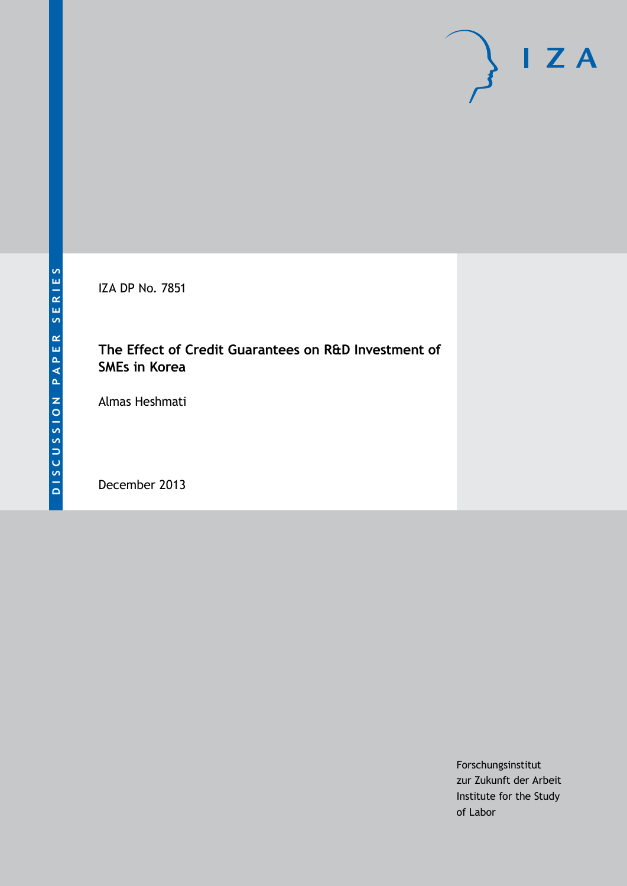IZA DP No. 7851

## **The Effect of Credit Guarantees on R&D Investment of SMEs in Korea**

Almas Heshmati

December 2013

Forschungsinstitut zur Zukunft der Arbeit Institute for the Study of Labor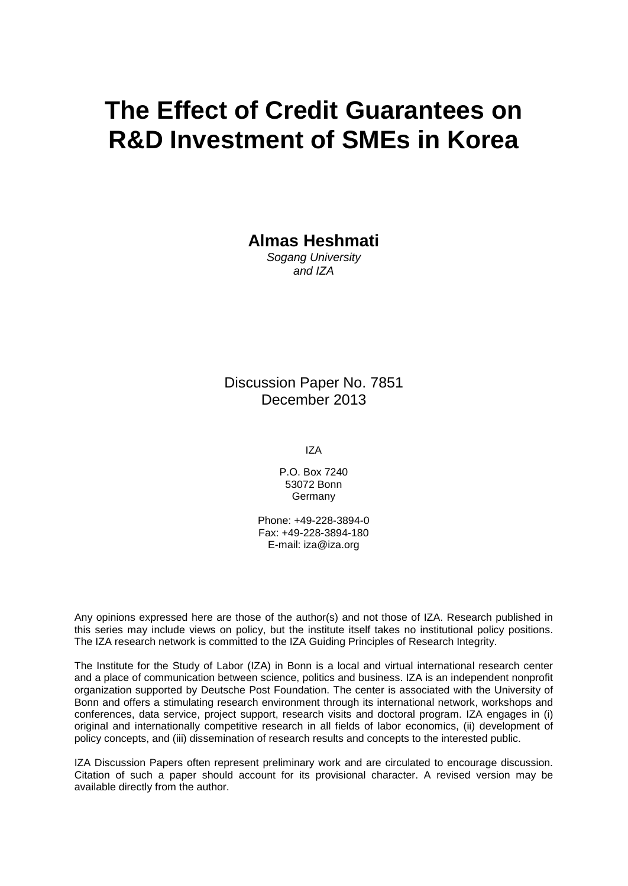# **The Effect of Credit Guarantees on R&D Investment of SMEs in Korea**

**Almas Heshmati**

*Sogang University and IZA*

Discussion Paper No. 7851 December 2013

IZA

P.O. Box 7240 53072 Bonn **Germany** 

Phone: +49-228-3894-0 Fax: +49-228-3894-180 E-mail: [iza@iza.org](mailto:iza@iza.org)

Any opinions expressed here are those of the author(s) and not those of IZA. Research published in this series may include views on policy, but the institute itself takes no institutional policy positions. The IZA research network is committed to the IZA Guiding Principles of Research Integrity.

The Institute for the Study of Labor (IZA) in Bonn is a local and virtual international research center and a place of communication between science, politics and business. IZA is an independent nonprofit organization supported by Deutsche Post Foundation. The center is associated with the University of Bonn and offers a stimulating research environment through its international network, workshops and conferences, data service, project support, research visits and doctoral program. IZA engages in (i) original and internationally competitive research in all fields of labor economics, (ii) development of policy concepts, and (iii) dissemination of research results and concepts to the interested public.

IZA Discussion Papers often represent preliminary work and are circulated to encourage discussion. Citation of such a paper should account for its provisional character. A revised version may be available directly from the author.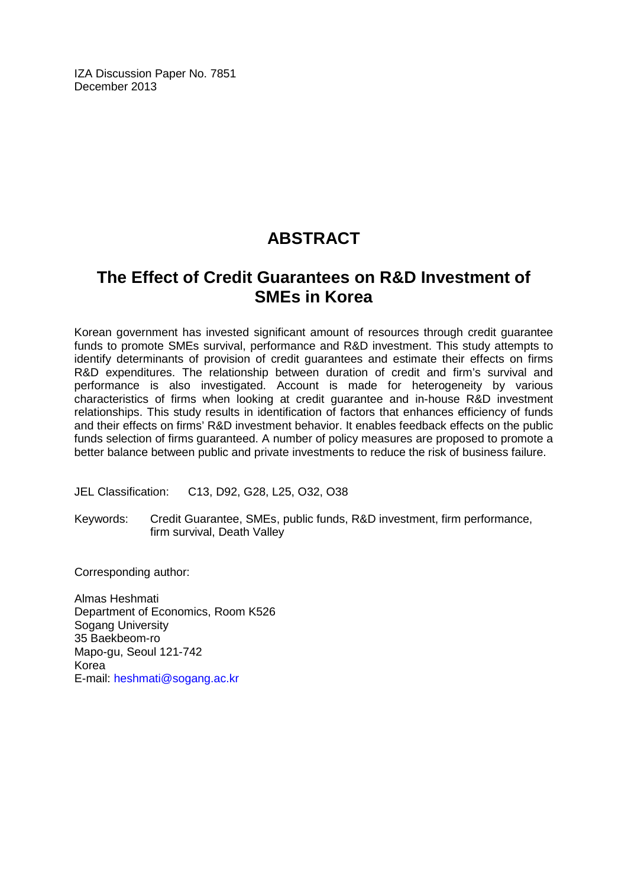IZA Discussion Paper No. 7851 December 2013

## **ABSTRACT**

## **The Effect of Credit Guarantees on R&D Investment of SMEs in Korea**

Korean government has invested significant amount of resources through credit guarantee funds to promote SMEs survival, performance and R&D investment. This study attempts to identify determinants of provision of credit guarantees and estimate their effects on firms R&D expenditures. The relationship between duration of credit and firm's survival and performance is also investigated. Account is made for heterogeneity by various characteristics of firms when looking at credit guarantee and in-house R&D investment relationships. This study results in identification of factors that enhances efficiency of funds and their effects on firms' R&D investment behavior. It enables feedback effects on the public funds selection of firms guaranteed. A number of policy measures are proposed to promote a better balance between public and private investments to reduce the risk of business failure.

JEL Classification: C13, D92, G28, L25, O32, O38

Keywords: Credit Guarantee, SMEs, public funds, R&D investment, firm performance, firm survival, Death Valley

Corresponding author:

Almas Heshmati Department of Economics, Room K526 Sogang University 35 Baekbeom-ro Mapo-gu, Seoul 121-742 Korea E-mail: [heshmati@sogang.ac.kr](mailto:heshmati@sogang.ac.kr)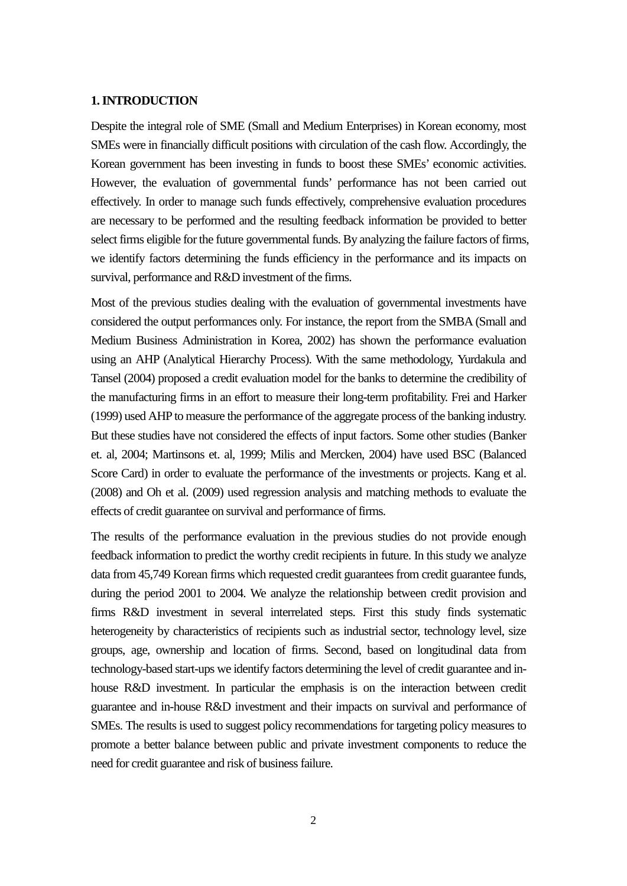#### **1. INTRODUCTION**

Despite the integral role of SME (Small and Medium Enterprises) in Korean economy, most SMEs were in financially difficult positions with circulation of the cash flow. Accordingly, the Korean government has been investing in funds to boost these SMEs' economic activities. However, the evaluation of governmental funds' performance has not been carried out effectively. In order to manage such funds effectively, comprehensive evaluation procedures are necessary to be performed and the resulting feedback information be provided to better select firms eligible for the future governmental funds. By analyzing the failure factors of firms, we identify factors determining the funds efficiency in the performance and its impacts on survival, performance and R&D investment of the firms.

Most of the previous studies dealing with the evaluation of governmental investments have considered the output performances only. For instance, the report from the SMBA (Small and Medium Business Administration in Korea, 2002) has shown the performance evaluation using an AHP (Analytical Hierarchy Process). With the same methodology, Yurdakula and Tansel (2004) proposed a credit evaluation model for the banks to determine the credibility of the manufacturing firms in an effort to measure their long-term profitability. Frei and Harker (1999) used AHP to measure the performance of the aggregate process of the banking industry. But these studies have not considered the effects of input factors. Some other studies (Banker et. al, 2004; Martinsons et. al, 1999; Milis and Mercken, 2004) have used BSC (Balanced Score Card) in order to evaluate the performance of the investments or projects. Kang et al. (2008) and Oh et al. (2009) used regression analysis and matching methods to evaluate the effects of credit guarantee on survival and performance of firms.

The results of the performance evaluation in the previous studies do not provide enough feedback information to predict the worthy credit recipients in future. In this study we analyze data from 45,749 Korean firms which requested credit guarantees from credit guarantee funds, during the period 2001 to 2004. We analyze the relationship between credit provision and firms R&D investment in several interrelated steps. First this study finds systematic heterogeneity by characteristics of recipients such as industrial sector, technology level, size groups, age, ownership and location of firms. Second, based on longitudinal data from technology-based start-ups we identify factors determining the level of credit guarantee and inhouse R&D investment. In particular the emphasis is on the interaction between credit guarantee and in-house R&D investment and their impacts on survival and performance of SMEs. The results is used to suggest policy recommendations for targeting policy measures to promote a better balance between public and private investment components to reduce the need for credit guarantee and risk of business failure.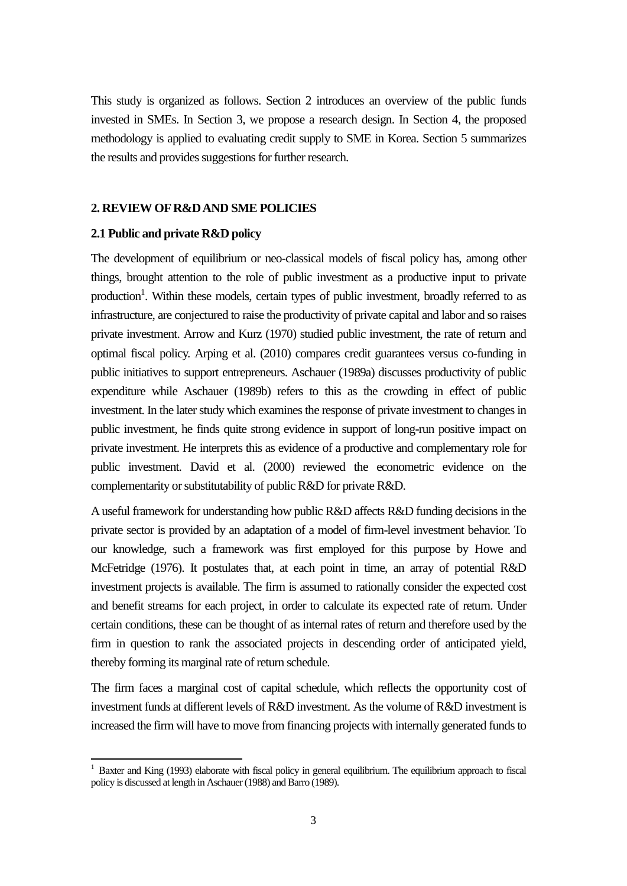This study is organized as follows. Section 2 introduces an overview of the public funds invested in SMEs. In Section 3, we propose a research design. In Section 4, the proposed methodology is applied to evaluating credit supply to SME in Korea. Section 5 summarizes the results and provides suggestions for further research.

#### **2. REVIEW OF R&D AND SME POLICIES**

#### **2.1 Public and private R&D policy**

The development of equilibrium or neo-classical models of fiscal policy has, among other things, brought attention to the role of public investment as a productive input to private production<sup>1</sup>. Within these models, certain types of public investment, broadly referred to as infrastructure, are conjectured to raise the productivity of private capital and labor and so raises private investment. Arrow and Kurz (1970) studied public investment, the rate of return and optimal fiscal policy. Arping et al. (2010) compares credit guarantees versus co-funding in public initiatives to support entrepreneurs. Aschauer (1989a) discusses productivity of public expenditure while Aschauer (1989b) refers to this as the crowding in effect of public investment. In the later study which examines the response of private investment to changes in public investment, he finds quite strong evidence in support of long-run positive impact on private investment. He interprets this as evidence of a productive and complementary role for public investment. David et al. (2000) reviewed the econometric evidence on the complementarity or substitutability of public R&D for private R&D.

A useful framework for understanding how public R&D affects R&D funding decisions in the private sector is provided by an adaptation of a model of firm-level investment behavior. To our knowledge, such a framework was first employed for this purpose by Howe and McFetridge (1976). It postulates that, at each point in time, an array of potential R&D investment projects is available. The firm is assumed to rationally consider the expected cost and benefit streams for each project, in order to calculate its expected rate of return. Under certain conditions, these can be thought of as internal rates of return and therefore used by the firm in question to rank the associated projects in descending order of anticipated yield, thereby forming its marginal rate of return schedule.

The firm faces a marginal cost of capital schedule, which reflects the opportunity cost of investment funds at different levels of R&D investment. As the volume of R&D investment is increased the firm will have to move from financing projects with internally generated funds to

<span id="page-4-0"></span><sup>&</sup>lt;sup>1</sup> Baxter and King (1993) elaborate with fiscal policy in general equilibrium. The equilibrium approach to fiscal policy is discussed at length in Aschauer (1988) and Barro (1989).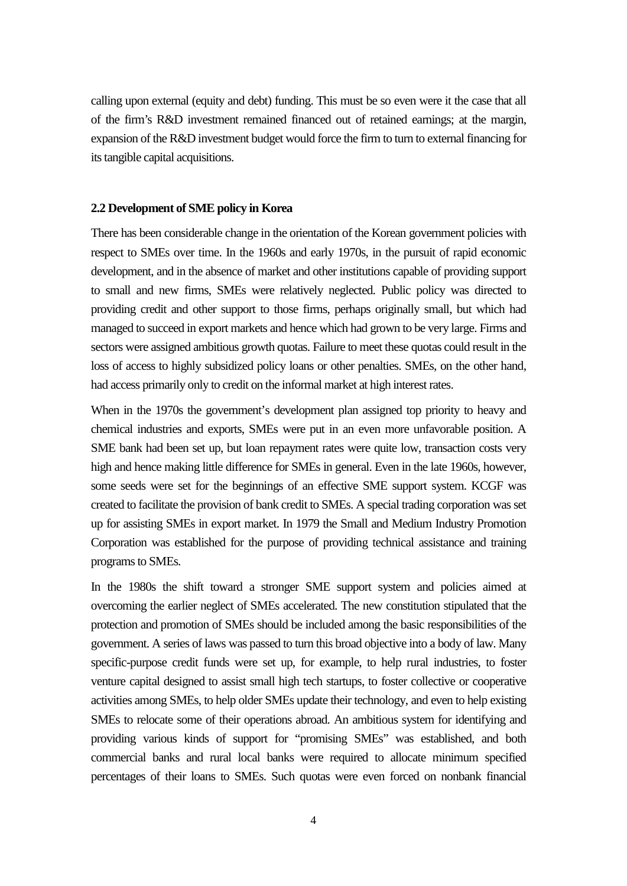calling upon external (equity and debt) funding. This must be so even were it the case that all of the firm's R&D investment remained financed out of retained earnings; at the margin, expansion of the R&D investment budget would force the firm to turn to external financing for its tangible capital acquisitions.

#### **2.2 Development of SME policy in Korea**

There has been considerable change in the orientation of the Korean government policies with respect to SMEs over time. In the 1960s and early 1970s, in the pursuit of rapid economic development, and in the absence of market and other institutions capable of providing support to small and new firms, SMEs were relatively neglected. Public policy was directed to providing credit and other support to those firms, perhaps originally small, but which had managed to succeed in export markets and hence which had grown to be very large. Firms and sectors were assigned ambitious growth quotas. Failure to meet these quotas could result in the loss of access to highly subsidized policy loans or other penalties. SMEs, on the other hand, had access primarily only to credit on the informal market at high interest rates.

When in the 1970s the government's development plan assigned top priority to heavy and chemical industries and exports, SMEs were put in an even more unfavorable position. A SME bank had been set up, but loan repayment rates were quite low, transaction costs very high and hence making little difference for SMEs in general. Even in the late 1960s, however, some seeds were set for the beginnings of an effective SME support system. KCGF was created to facilitate the provision of bank credit to SMEs. A special trading corporation was set up for assisting SMEs in export market. In 1979 the Small and Medium Industry Promotion Corporation was established for the purpose of providing technical assistance and training programs to SMEs.

In the 1980s the shift toward a stronger SME support system and policies aimed at overcoming the earlier neglect of SMEs accelerated. The new constitution stipulated that the protection and promotion of SMEs should be included among the basic responsibilities of the government. A series of laws was passed to turn this broad objective into a body of law. Many specific-purpose credit funds were set up, for example, to help rural industries, to foster venture capital designed to assist small high tech startups, to foster collective or cooperative activities among SMEs, to help older SMEs update their technology, and even to help existing SMEs to relocate some of their operations abroad. An ambitious system for identifying and providing various kinds of support for "promising SMEs" was established, and both commercial banks and rural local banks were required to allocate minimum specified percentages of their loans to SMEs. Such quotas were even forced on nonbank financial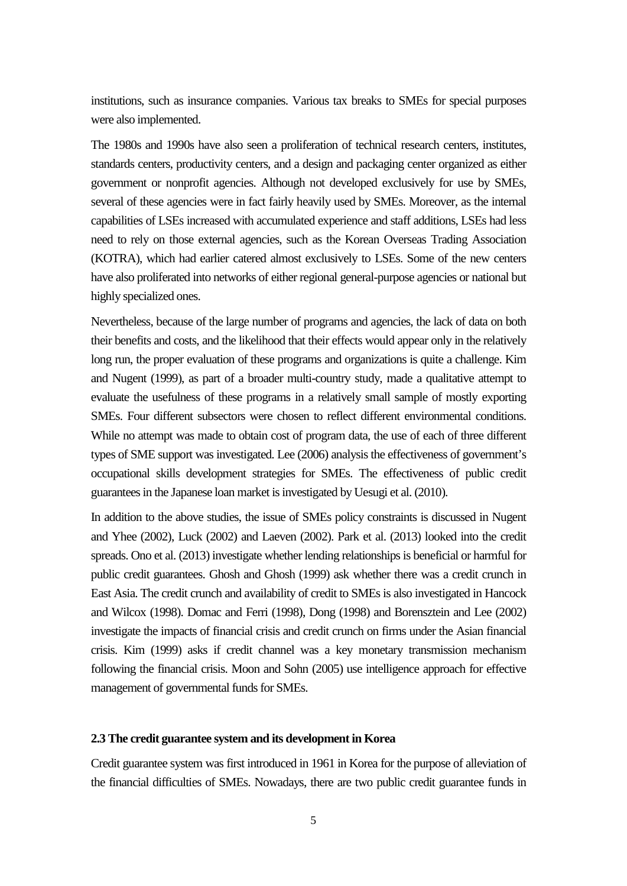institutions, such as insurance companies. Various tax breaks to SMEs for special purposes were also implemented.

The 1980s and 1990s have also seen a proliferation of technical research centers, institutes, standards centers, productivity centers, and a design and packaging center organized as either government or nonprofit agencies. Although not developed exclusively for use by SMEs, several of these agencies were in fact fairly heavily used by SMEs. Moreover, as the internal capabilities of LSEs increased with accumulated experience and staff additions, LSEs had less need to rely on those external agencies, such as the Korean Overseas Trading Association (KOTRA), which had earlier catered almost exclusively to LSEs. Some of the new centers have also proliferated into networks of either regional general-purpose agencies or national but highly specialized ones.

Nevertheless, because of the large number of programs and agencies, the lack of data on both their benefits and costs, and the likelihood that their effects would appear only in the relatively long run, the proper evaluation of these programs and organizations is quite a challenge. Kim and Nugent (1999), as part of a broader multi-country study, made a qualitative attempt to evaluate the usefulness of these programs in a relatively small sample of mostly exporting SMEs. Four different subsectors were chosen to reflect different environmental conditions. While no attempt was made to obtain cost of program data, the use of each of three different types of SME support was investigated. Lee (2006) analysis the effectiveness of government's occupational skills development strategies for SMEs. The effectiveness of public credit guarantees in the Japanese loan market is investigated by Uesugi et al. (2010).

In addition to the above studies, the issue of SMEs policy constraints is discussed in Nugent and Yhee (2002), Luck (2002) and Laeven (2002). Park et al. (2013) looked into the credit spreads. Ono et al. (2013) investigate whether lending relationships is beneficial or harmful for public credit guarantees. Ghosh and Ghosh (1999) ask whether there was a credit crunch in East Asia. The credit crunch and availability of credit to SMEs is also investigated in Hancock and Wilcox (1998). Domac and Ferri (1998), Dong (1998) and Borensztein and Lee (2002) investigate the impacts of financial crisis and credit crunch on firms under the Asian financial crisis. Kim (1999) asks if credit channel was a key monetary transmission mechanism following the financial crisis. Moon and Sohn (2005) use intelligence approach for effective management of governmental funds for SMEs.

#### **2.3 The credit guarantee system and its development in Korea**

Credit guarantee system was first introduced in 1961 in Korea for the purpose of alleviation of the financial difficulties of SMEs. Nowadays, there are two public credit guarantee funds in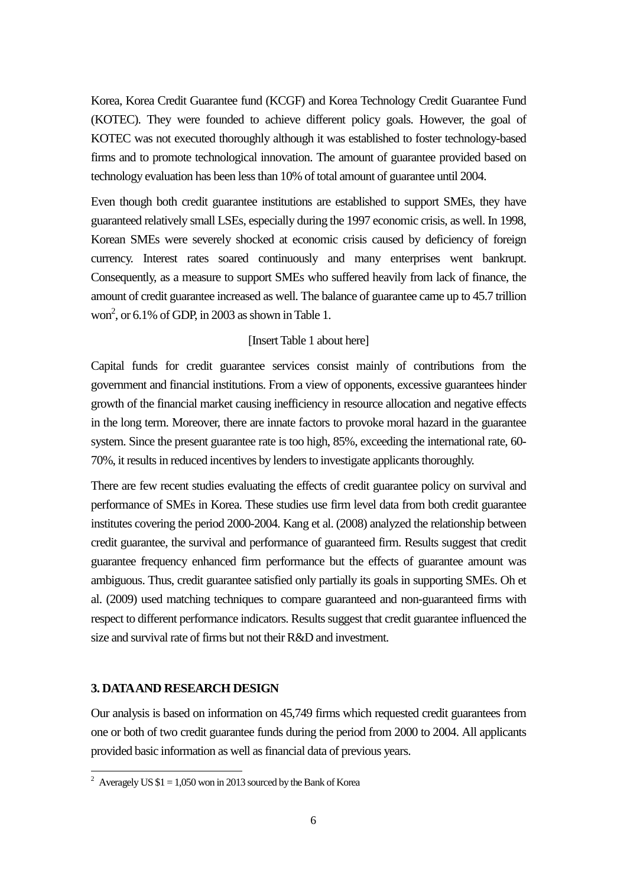Korea, Korea Credit Guarantee fund (KCGF) and Korea Technology Credit Guarantee Fund (KOTEC). They were founded to achieve different policy goals. However, the goal of KOTEC was not executed thoroughly although it was established to foster technology-based firms and to promote technological innovation. The amount of guarantee provided based on technology evaluation has been less than 10% of total amount of guarantee until 2004.

Even though both credit guarantee institutions are established to support SMEs, they have guaranteed relatively small LSEs, especially during the 1997 economic crisis, as well. In 1998, Korean SMEs were severely shocked at economic crisis caused by deficiency of foreign currency. Interest rates soared continuously and many enterprises went bankrupt. Consequently, as a measure to support SMEs who suffered heavily from lack of finance, the amount of credit guarantee increased as well. The balance of guarantee came up to 45.7 trillion won<sup>2</sup>, or 6.1% of GDP, in 2003 as shown in Table 1.

#### [Insert Table 1 about here]

Capital funds for credit guarantee services consist mainly of contributions from the government and financial institutions. From a view of opponents, excessive guarantees hinder growth of the financial market causing inefficiency in resource allocation and negative effects in the long term. Moreover, there are innate factors to provoke moral hazard in the guarantee system. Since the present guarantee rate is too high, 85%, exceeding the international rate, 60- 70%, it results in reduced incentives by lenders to investigate applicants thoroughly.

There are few recent studies evaluating the effects of credit guarantee policy on survival and performance of SMEs in Korea. These studies use firm level data from both credit guarantee institutes covering the period 2000-2004. Kang et al. (2008) analyzed the relationship between credit guarantee, the survival and performance of guaranteed firm. Results suggest that credit guarantee frequency enhanced firm performance but the effects of guarantee amount was ambiguous. Thus, credit guarantee satisfied only partially its goals in supporting SMEs. Oh et al. (2009) used matching techniques to compare guaranteed and non-guaranteed firms with respect to different performance indicators. Results suggest that credit guarantee influenced the size and survival rate of firms but not their R&D and investment.

#### **3. DATA AND RESEARCH DESIGN**

Our analysis is based on information on 45,749 firms which requested credit guarantees from one or both of two credit guarantee funds during the period from 2000 to 2004. All applicants provided basic information as well as financial data of previous years.

<sup>&</sup>lt;sup>2</sup> Averagely US  $$1 = 1,050$  won in 2013 sourced by the Bank of Korea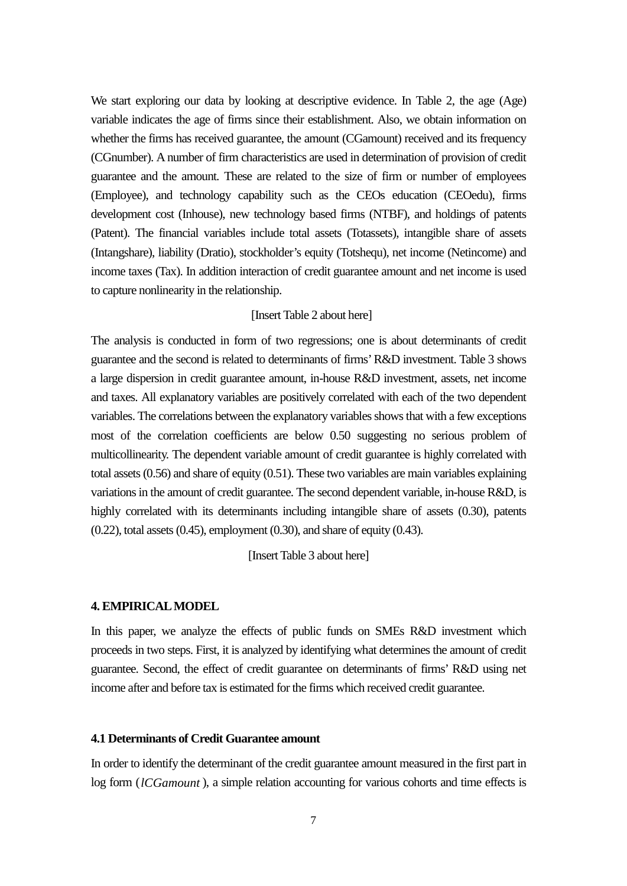We start exploring our data by looking at descriptive evidence. In Table 2, the age (Age) variable indicates the age of firms since their establishment. Also, we obtain information on whether the firms has received guarantee, the amount (CGamount) received and its frequency (CGnumber). A number of firm characteristics are used in determination of provision of credit guarantee and the amount. These are related to the size of firm or number of employees (Employee), and technology capability such as the CEOs education (CEOedu), firms development cost (Inhouse), new technology based firms (NTBF), and holdings of patents (Patent). The financial variables include total assets (Totassets), intangible share of assets (Intangshare), liability (Dratio), stockholder's equity (Totshequ), net income (Netincome) and income taxes (Tax). In addition interaction of credit guarantee amount and net income is used to capture nonlinearity in the relationship.

#### [Insert Table 2 about here]

The analysis is conducted in form of two regressions; one is about determinants of credit guarantee and the second is related to determinants of firms' R&D investment. Table 3 shows a large dispersion in credit guarantee amount, in-house R&D investment, assets, net income and taxes. All explanatory variables are positively correlated with each of the two dependent variables. The correlations between the explanatory variables shows that with a few exceptions most of the correlation coefficients are below 0.50 suggesting no serious problem of multicollinearity. The dependent variable amount of credit guarantee is highly correlated with total assets (0.56) and share of equity (0.51). These two variables are main variables explaining variations in the amount of credit guarantee. The second dependent variable, in-house R&D, is highly correlated with its determinants including intangible share of assets (0.30), patents (0.22), total assets (0.45), employment (0.30), and share of equity (0.43).

[Insert Table 3 about here]

#### **4. EMPIRICAL MODEL**

In this paper, we analyze the effects of public funds on SMEs R&D investment which proceeds in two steps. First, it is analyzed by identifying what determines the amount of credit guarantee. Second, the effect of credit guarantee on determinants of firms' R&D using net income after and before tax is estimated for the firms which received credit guarantee.

#### **4.1 Determinants of Credit Guarantee amount**

In order to identify the determinant of the credit guarantee amount measured in the first part in log form (*lCGamount* ), a simple relation accounting for various cohorts and time effects is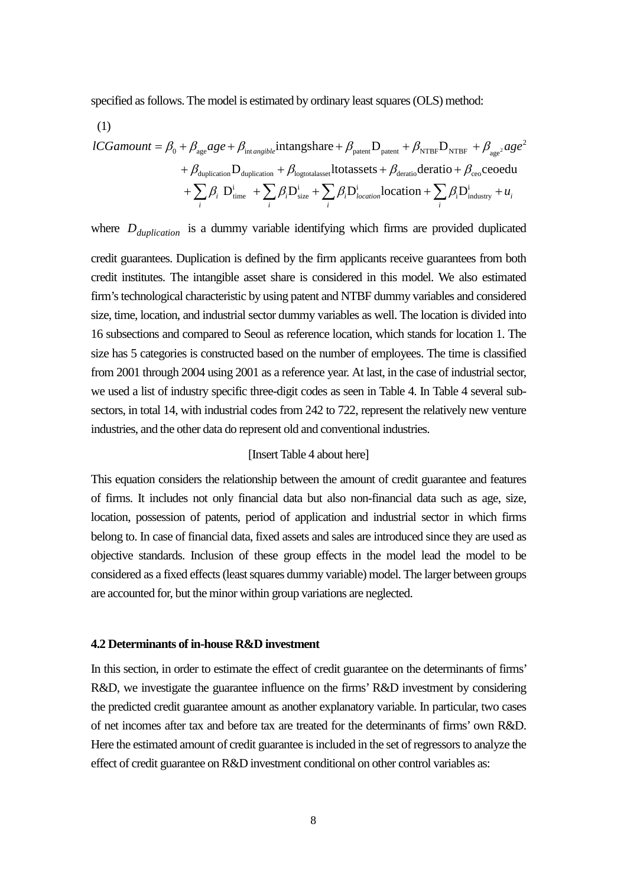specified as follows. The model is estimated by ordinary least squares (OLS) method:

(1)

$$
lCG amount = \beta_0 + \beta_{age} age + \beta_{intangible} intang share + \beta_{pattern} D_{pattern} + \beta_{NTBF} D_{NTBF} + \beta_{age} age^2
$$

$$
+ \beta_{duplication} D_{duplication} + \beta_{logtotalasset} ltot assets + \beta_{deratio} deratio + \beta_{ceo} ceoedu
$$

$$
+ \sum_{i} \beta_i D_{time}^i + \sum_{i} \beta_i D_{size}^i + \sum_{i} \beta_i D_{location}^i location + \sum_{i} \beta_i D_{industry}^i + u_i
$$

where  $D_{\text{dustation}}$  is a dummy variable identifying which firms are provided duplicated

credit guarantees. Duplication is defined by the firm applicants receive guarantees from both credit institutes. The intangible asset share is considered in this model. We also estimated firm's technological characteristic by using patent and NTBF dummy variables and considered size, time, location, and industrial sector dummy variables as well. The location is divided into 16 subsections and compared to Seoul as reference location, which stands for location 1. The size has 5 categories is constructed based on the number of employees. The time is classified from 2001 through 2004 using 2001 as a reference year. At last, in the case of industrial sector, we used a list of industry specific three-digit codes as seen in Table 4. In Table 4 several subsectors, in total 14, with industrial codes from 242 to 722, represent the relatively new venture industries, and the other data do represent old and conventional industries.

#### [Insert Table 4 about here]

This equation considers the relationship between the amount of credit guarantee and features of firms. It includes not only financial data but also non-financial data such as age, size, location, possession of patents, period of application and industrial sector in which firms belong to. In case of financial data, fixed assets and sales are introduced since they are used as objective standards. Inclusion of these group effects in the model lead the model to be considered as a fixed effects (least squares dummy variable) model. The larger between groups are accounted for, but the minor within group variations are neglected.

#### **4.2 Determinants of in-house R&D investment**

In this section, in order to estimate the effect of credit guarantee on the determinants of firms' R&D, we investigate the guarantee influence on the firms' R&D investment by considering the predicted credit guarantee amount as another explanatory variable. In particular, two cases of net incomes after tax and before tax are treated for the determinants of firms' own R&D. Here the estimated amount of credit guarantee is included in the set of regressors to analyze the effect of credit guarantee on R&D investment conditional on other control variables as: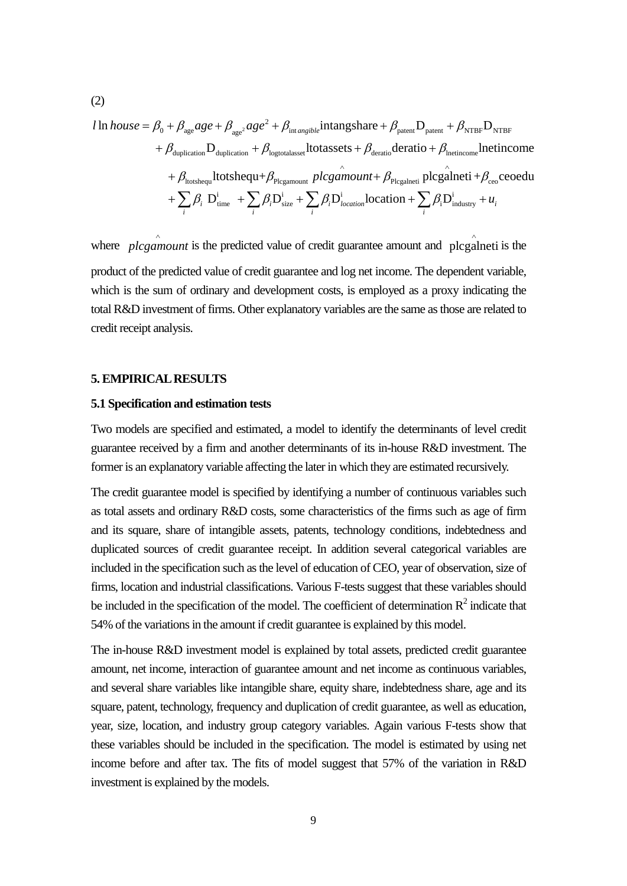$$
l \ln \text{house} = \beta_0 + \beta_{\text{age}}age + \beta_{\text{age}^2}age^2 + \beta_{\text{int-angled}^2}Intangshare + \beta_{\text{pattern}}D_{\text{pattern}} + \beta_{\text{NTBF}}D_{\text{NTBF}}
$$
  
+  $\beta_{\text{duplication}}D_{\text{duplication}} + \beta_{\text{logtotalasset}}Hotases_{t} + \beta_{\text{deratio}}deratio + \beta_{\text{Inetimeome}}Intimome$   
+  $\beta_{\text{ltotshequ}}Hotbshequ + \beta_{\text{Plegamount}} \text{ plcgamount} + \beta_{\text{Plegalneti}} \text{ plcgalneti} + \beta_{\text{ceo}} \text{ceoedu}$   
+  $\sum_{i} \beta_i D_{\text{time}}^i + \sum_{i} \beta_i D_{\text{size}}^i + \sum_{i} \beta_i D_{\text{location}}^i \text{location} + \sum_{i} \beta_i D_{\text{industry}}^i + u_i$ 

where *plcgamount* is the predicted value of credit guarantee amount and plcgalneti is the product of the predicted value of credit guarantee and log net income. The dependent variable, which is the sum of ordinary and development costs, is employed as a proxy indicating the total R&D investment of firms. Other explanatory variables are the same as those are related to credit receipt analysis.

#### **5. EMPIRICAL RESULTS**

#### **5.1 Specification and estimation tests**

Two models are specified and estimated, a model to identify the determinants of level credit guarantee received by a firm and another determinants of its in-house R&D investment. The former is an explanatory variable affecting the later in which they are estimated recursively.

The credit guarantee model is specified by identifying a number of continuous variables such as total assets and ordinary R&D costs, some characteristics of the firms such as age of firm and its square, share of intangible assets, patents, technology conditions, indebtedness and duplicated sources of credit guarantee receipt. In addition several categorical variables are included in the specification such as the level of education of CEO, year of observation, size of firms, location and industrial classifications. Various F-tests suggest that these variables should be included in the specification of the model. The coefficient of determination  $R^2$  indicate that 54% of the variations in the amount if credit guarantee is explained by this model.

The in-house R&D investment model is explained by total assets, predicted credit guarantee amount, net income, interaction of guarantee amount and net income as continuous variables, and several share variables like intangible share, equity share, indebtedness share, age and its square, patent, technology, frequency and duplication of credit guarantee, as well as education, year, size, location, and industry group category variables. Again various F-tests show that these variables should be included in the specification. The model is estimated by using net income before and after tax. The fits of model suggest that 57% of the variation in R&D investment is explained by the models.

$$
(2)
$$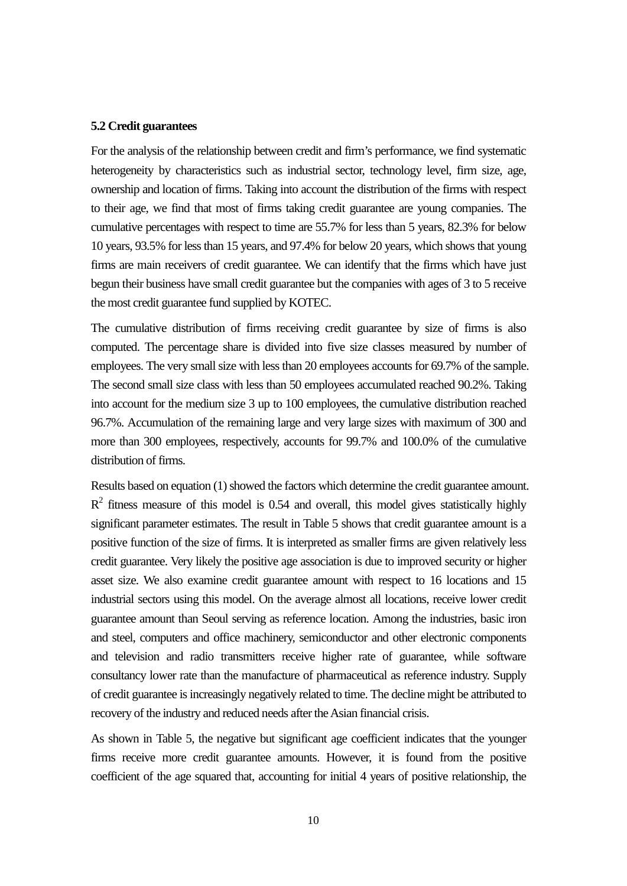#### **5.2 Credit guarantees**

For the analysis of the relationship between credit and firm's performance, we find systematic heterogeneity by characteristics such as industrial sector, technology level, firm size, age, ownership and location of firms. Taking into account the distribution of the firms with respect to their age, we find that most of firms taking credit guarantee are young companies. The cumulative percentages with respect to time are 55.7% for less than 5 years, 82.3% for below 10 years, 93.5% for less than 15 years, and 97.4% for below 20 years, which shows that young firms are main receivers of credit guarantee. We can identify that the firms which have just begun their business have small credit guarantee but the companies with ages of 3 to 5 receive the most credit guarantee fund supplied by KOTEC.

The cumulative distribution of firms receiving credit guarantee by size of firms is also computed. The percentage share is divided into five size classes measured by number of employees. The very small size with less than 20 employees accounts for 69.7% of the sample. The second small size class with less than 50 employees accumulated reached 90.2%. Taking into account for the medium size 3 up to 100 employees, the cumulative distribution reached 96.7%. Accumulation of the remaining large and very large sizes with maximum of 300 and more than 300 employees, respectively, accounts for 99.7% and 100.0% of the cumulative distribution of firms.

Results based on equation (1) showed the factors which determine the credit guarantee amount.  $R<sup>2</sup>$  fitness measure of this model is 0.54 and overall, this model gives statistically highly significant parameter estimates. The result in Table 5 shows that credit guarantee amount is a positive function of the size of firms. It is interpreted as smaller firms are given relatively less credit guarantee. Very likely the positive age association is due to improved security or higher asset size. We also examine credit guarantee amount with respect to 16 locations and 15 industrial sectors using this model. On the average almost all locations, receive lower credit guarantee amount than Seoul serving as reference location. Among the industries, basic iron and steel, computers and office machinery, semiconductor and other electronic components and television and radio transmitters receive higher rate of guarantee, while software consultancy lower rate than the manufacture of pharmaceutical as reference industry. Supply of credit guarantee is increasingly negatively related to time. The decline might be attributed to recovery of the industry and reduced needs after the Asian financial crisis.

As shown in Table 5, the negative but significant age coefficient indicates that the younger firms receive more credit guarantee amounts. However, it is found from the positive coefficient of the age squared that, accounting for initial 4 years of positive relationship, the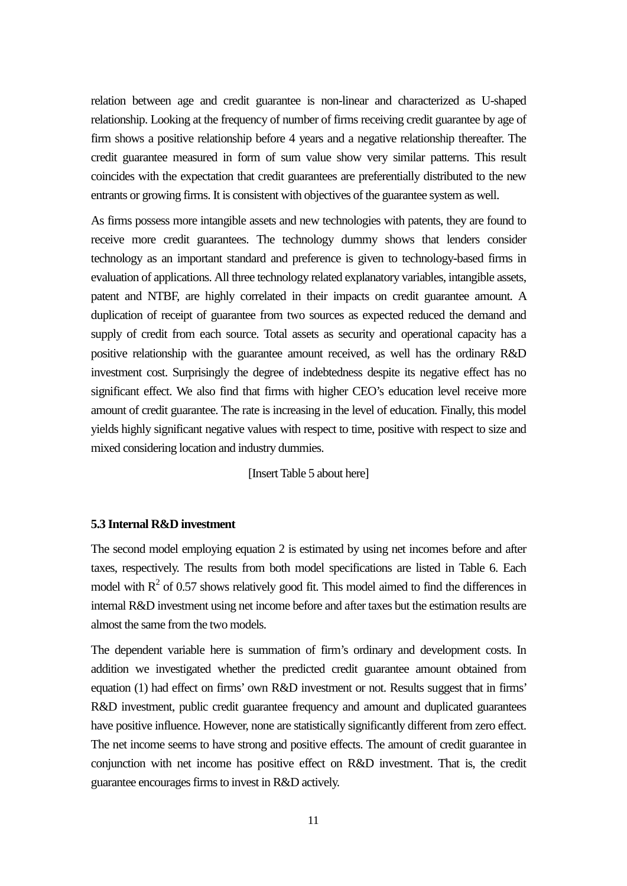relation between age and credit guarantee is non-linear and characterized as U-shaped relationship. Looking at the frequency of number of firms receiving credit guarantee by age of firm shows a positive relationship before 4 years and a negative relationship thereafter. The credit guarantee measured in form of sum value show very similar patterns. This result coincides with the expectation that credit guarantees are preferentially distributed to the new entrants or growing firms. It is consistent with objectives of the guarantee system as well.

As firms possess more intangible assets and new technologies with patents, they are found to receive more credit guarantees. The technology dummy shows that lenders consider technology as an important standard and preference is given to technology-based firms in evaluation of applications. All three technology related explanatory variables, intangible assets, patent and NTBF, are highly correlated in their impacts on credit guarantee amount. A duplication of receipt of guarantee from two sources as expected reduced the demand and supply of credit from each source. Total assets as security and operational capacity has a positive relationship with the guarantee amount received, as well has the ordinary R&D investment cost. Surprisingly the degree of indebtedness despite its negative effect has no significant effect. We also find that firms with higher CEO's education level receive more amount of credit guarantee. The rate is increasing in the level of education. Finally, this model yields highly significant negative values with respect to time, positive with respect to size and mixed considering location and industry dummies.

#### [Insert Table 5 about here]

#### **5.3 Internal R&D investment**

The second model employing equation 2 is estimated by using net incomes before and after taxes, respectively. The results from both model specifications are listed in Table 6. Each model with  $R^2$  of 0.57 shows relatively good fit. This model aimed to find the differences in internal R&D investment using net income before and after taxes but the estimation results are almost the same from the two models.

The dependent variable here is summation of firm's ordinary and development costs. In addition we investigated whether the predicted credit guarantee amount obtained from equation (1) had effect on firms' own R&D investment or not. Results suggest that in firms' R&D investment, public credit guarantee frequency and amount and duplicated guarantees have positive influence. However, none are statistically significantly different from zero effect. The net income seems to have strong and positive effects. The amount of credit guarantee in conjunction with net income has positive effect on R&D investment. That is, the credit guarantee encourages firms to invest in R&D actively.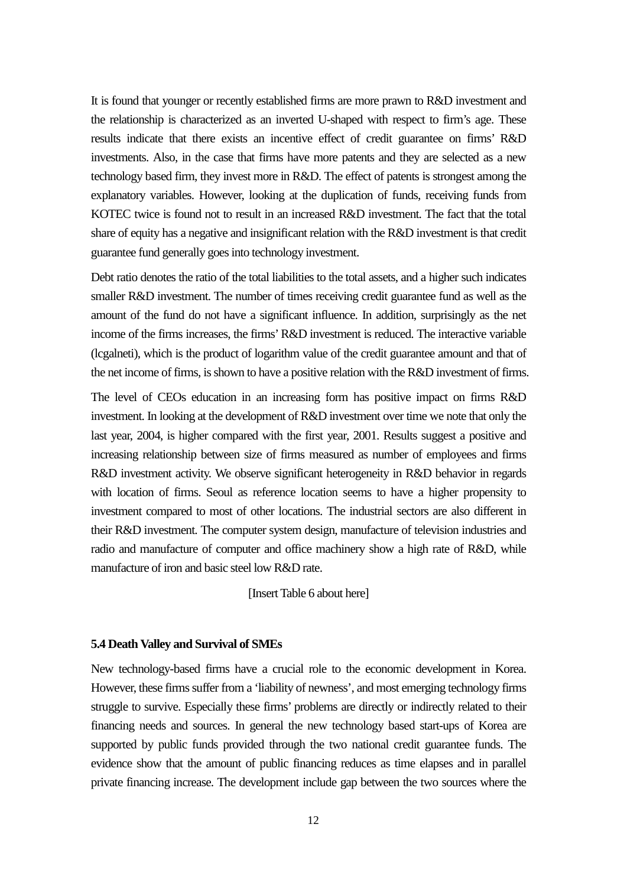It is found that younger or recently established firms are more prawn to R&D investment and the relationship is characterized as an inverted U-shaped with respect to firm's age. These results indicate that there exists an incentive effect of credit guarantee on firms' R&D investments. Also, in the case that firms have more patents and they are selected as a new technology based firm, they invest more in R&D. The effect of patents is strongest among the explanatory variables. However, looking at the duplication of funds, receiving funds from KOTEC twice is found not to result in an increased R&D investment. The fact that the total share of equity has a negative and insignificant relation with the R&D investment is that credit guarantee fund generally goes into technology investment.

Debt ratio denotes the ratio of the total liabilities to the total assets, and a higher such indicates smaller R&D investment. The number of times receiving credit guarantee fund as well as the amount of the fund do not have a significant influence. In addition, surprisingly as the net income of the firms increases, the firms' R&D investment is reduced. The interactive variable (lcgalneti), which is the product of logarithm value of the credit guarantee amount and that of the net income of firms, is shown to have a positive relation with the R&D investment of firms.

The level of CEOs education in an increasing form has positive impact on firms R&D investment. In looking at the development of R&D investment over time we note that only the last year, 2004, is higher compared with the first year, 2001. Results suggest a positive and increasing relationship between size of firms measured as number of employees and firms R&D investment activity. We observe significant heterogeneity in R&D behavior in regards with location of firms. Seoul as reference location seems to have a higher propensity to investment compared to most of other locations. The industrial sectors are also different in their R&D investment. The computer system design, manufacture of television industries and radio and manufacture of computer and office machinery show a high rate of R&D, while manufacture of iron and basic steel low R&D rate.

[Insert Table 6 about here]

#### **5.4 Death Valley and Survival of SMEs**

New technology-based firms have a crucial role to the economic development in Korea. However, these firms suffer from a 'liability of newness', and most emerging technology firms struggle to survive. Especially these firms' problems are directly or indirectly related to their financing needs and sources. In general the new technology based start-ups of Korea are supported by public funds provided through the two national credit guarantee funds. The evidence show that the amount of public financing reduces as time elapses and in parallel private financing increase. The development include gap between the two sources where the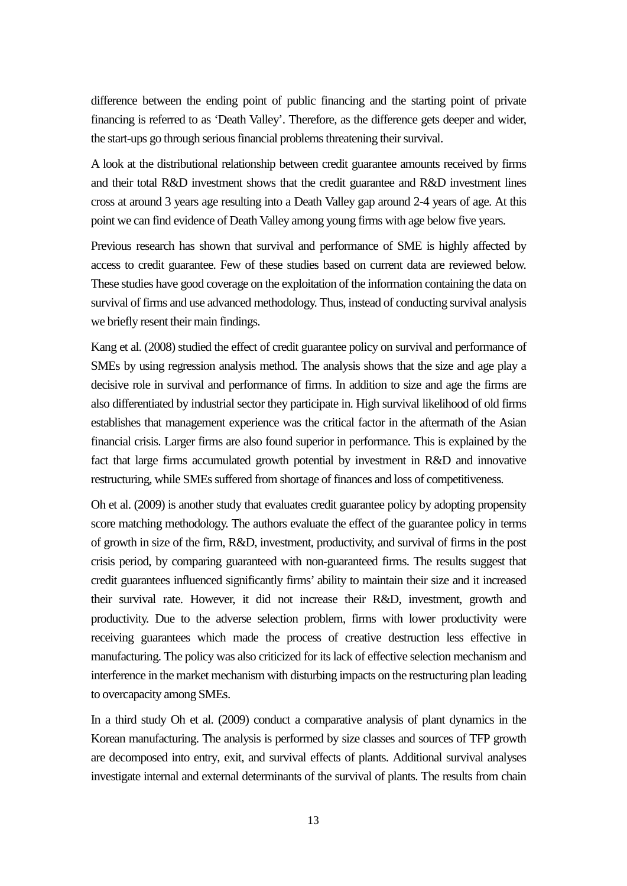difference between the ending point of public financing and the starting point of private financing is referred to as 'Death Valley'. Therefore, as the difference gets deeper and wider, the start-ups go through serious financial problems threatening their survival.

A look at the distributional relationship between credit guarantee amounts received by firms and their total R&D investment shows that the credit guarantee and R&D investment lines cross at around 3 years age resulting into a Death Valley gap around 2-4 years of age. At this point we can find evidence of Death Valley among young firms with age below five years.

Previous research has shown that survival and performance of SME is highly affected by access to credit guarantee. Few of these studies based on current data are reviewed below. These studies have good coverage on the exploitation of the information containing the data on survival of firms and use advanced methodology. Thus, instead of conducting survival analysis we briefly resent their main findings.

Kang et al. (2008) studied the effect of credit guarantee policy on survival and performance of SMEs by using regression analysis method. The analysis shows that the size and age play a decisive role in survival and performance of firms. In addition to size and age the firms are also differentiated by industrial sector they participate in. High survival likelihood of old firms establishes that management experience was the critical factor in the aftermath of the Asian financial crisis. Larger firms are also found superior in performance. This is explained by the fact that large firms accumulated growth potential by investment in R&D and innovative restructuring, while SMEs suffered from shortage of finances and loss of competitiveness.

Oh et al. (2009) is another study that evaluates credit guarantee policy by adopting propensity score matching methodology. The authors evaluate the effect of the guarantee policy in terms of growth in size of the firm, R&D, investment, productivity, and survival of firms in the post crisis period, by comparing guaranteed with non-guaranteed firms. The results suggest that credit guarantees influenced significantly firms' ability to maintain their size and it increased their survival rate. However, it did not increase their R&D, investment, growth and productivity. Due to the adverse selection problem, firms with lower productivity were receiving guarantees which made the process of creative destruction less effective in manufacturing. The policy was also criticized for its lack of effective selection mechanism and interference in the market mechanism with disturbing impacts on the restructuring plan leading to overcapacity among SMEs.

In a third study Oh et al. (2009) conduct a comparative analysis of plant dynamics in the Korean manufacturing. The analysis is performed by size classes and sources of TFP growth are decomposed into entry, exit, and survival effects of plants. Additional survival analyses investigate internal and external determinants of the survival of plants. The results from chain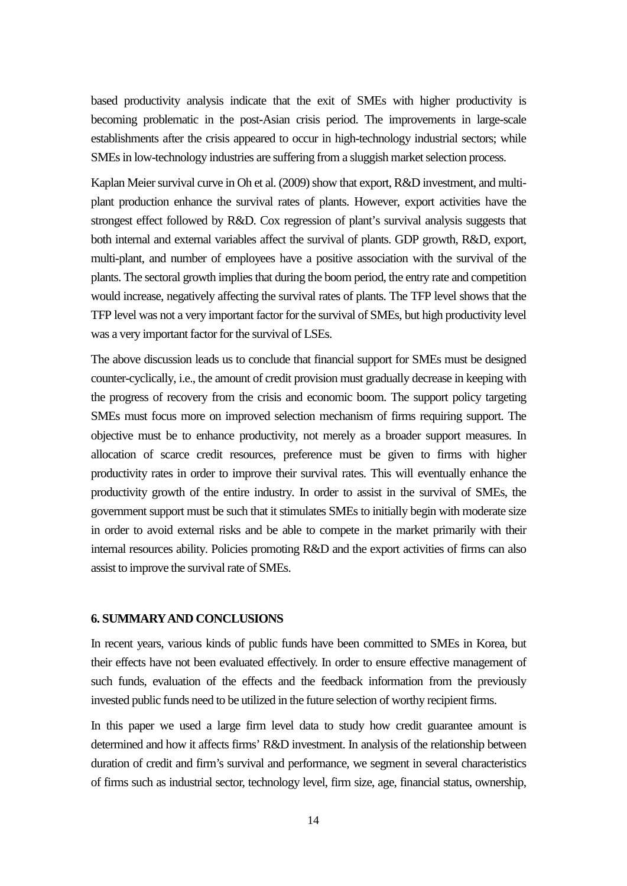based productivity analysis indicate that the exit of SMEs with higher productivity is becoming problematic in the post-Asian crisis period. The improvements in large-scale establishments after the crisis appeared to occur in high-technology industrial sectors; while SMEs in low-technology industries are suffering from a sluggish market selection process.

Kaplan Meier survival curve in Oh et al. (2009) show that export, R&D investment, and multiplant production enhance the survival rates of plants. However, export activities have the strongest effect followed by R&D. Cox regression of plant's survival analysis suggests that both internal and external variables affect the survival of plants. GDP growth, R&D, export, multi-plant, and number of employees have a positive association with the survival of the plants. The sectoral growth implies that during the boom period, the entry rate and competition would increase, negatively affecting the survival rates of plants. The TFP level shows that the TFP level was not a very important factor for the survival of SMEs, but high productivity level was a very important factor for the survival of LSEs.

The above discussion leads us to conclude that financial support for SMEs must be designed counter-cyclically, i.e., the amount of credit provision must gradually decrease in keeping with the progress of recovery from the crisis and economic boom. The support policy targeting SMEs must focus more on improved selection mechanism of firms requiring support. The objective must be to enhance productivity, not merely as a broader support measures. In allocation of scarce credit resources, preference must be given to firms with higher productivity rates in order to improve their survival rates. This will eventually enhance the productivity growth of the entire industry. In order to assist in the survival of SMEs, the government support must be such that it stimulates SMEs to initially begin with moderate size in order to avoid external risks and be able to compete in the market primarily with their internal resources ability. Policies promoting R&D and the export activities of firms can also assist to improve the survival rate of SMEs.

#### **6. SUMMARY AND CONCLUSIONS**

In recent years, various kinds of public funds have been committed to SMEs in Korea, but their effects have not been evaluated effectively. In order to ensure effective management of such funds, evaluation of the effects and the feedback information from the previously invested public funds need to be utilized in the future selection of worthy recipient firms.

In this paper we used a large firm level data to study how credit guarantee amount is determined and how it affects firms' R&D investment. In analysis of the relationship between duration of credit and firm's survival and performance, we segment in several characteristics of firms such as industrial sector, technology level, firm size, age, financial status, ownership,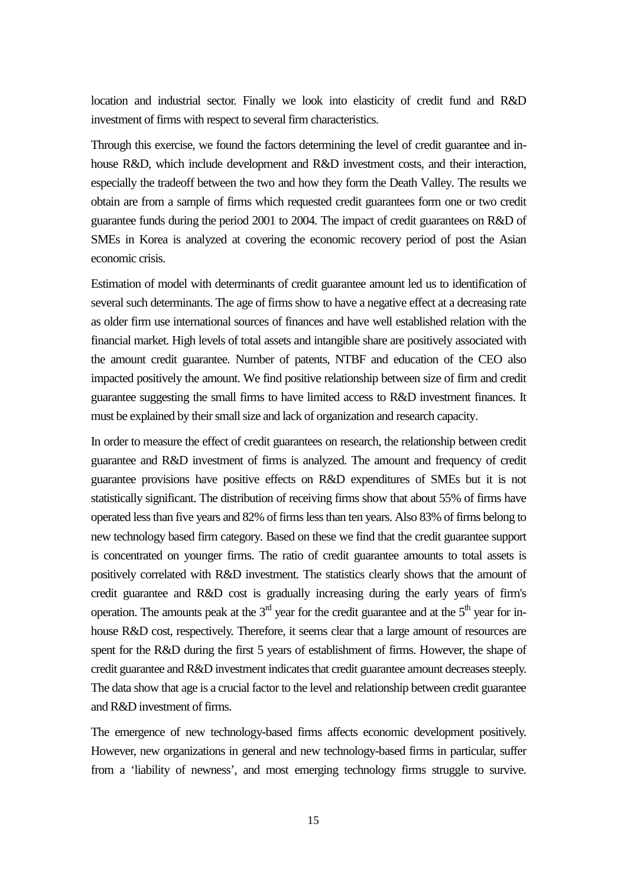location and industrial sector. Finally we look into elasticity of credit fund and R&D investment of firms with respect to several firm characteristics.

Through this exercise, we found the factors determining the level of credit guarantee and inhouse R&D, which include development and R&D investment costs, and their interaction, especially the tradeoff between the two and how they form the Death Valley. The results we obtain are from a sample of firms which requested credit guarantees form one or two credit guarantee funds during the period 2001 to 2004. The impact of credit guarantees on R&D of SMEs in Korea is analyzed at covering the economic recovery period of post the Asian economic crisis.

Estimation of model with determinants of credit guarantee amount led us to identification of several such determinants. The age of firms show to have a negative effect at a decreasing rate as older firm use international sources of finances and have well established relation with the financial market. High levels of total assets and intangible share are positively associated with the amount credit guarantee. Number of patents, NTBF and education of the CEO also impacted positively the amount. We find positive relationship between size of firm and credit guarantee suggesting the small firms to have limited access to R&D investment finances. It must be explained by their small size and lack of organization and research capacity.

In order to measure the effect of credit guarantees on research, the relationship between credit guarantee and R&D investment of firms is analyzed. The amount and frequency of credit guarantee provisions have positive effects on R&D expenditures of SMEs but it is not statistically significant. The distribution of receiving firms show that about 55% of firms have operated less than five years and 82% of firmsless than ten years. Also 83% of firms belong to new technology based firm category. Based on these we find that the credit guarantee support is concentrated on younger firms. The ratio of credit guarantee amounts to total assets is positively correlated with R&D investment. The statistics clearly shows that the amount of credit guarantee and R&D cost is gradually increasing during the early years of firm's operation. The amounts peak at the  $3<sup>rd</sup>$  year for the credit guarantee and at the  $5<sup>th</sup>$  year for inhouse R&D cost, respectively. Therefore, it seems clear that a large amount of resources are spent for the R&D during the first 5 years of establishment of firms. However, the shape of credit guarantee and R&D investment indicates that credit guarantee amount decreases steeply. The data show that age is a crucial factor to the level and relationship between credit guarantee and R&D investment of firms.

The emergence of new technology-based firms affects economic development positively. However, new organizations in general and new technology-based firms in particular, suffer from a 'liability of newness', and most emerging technology firms struggle to survive.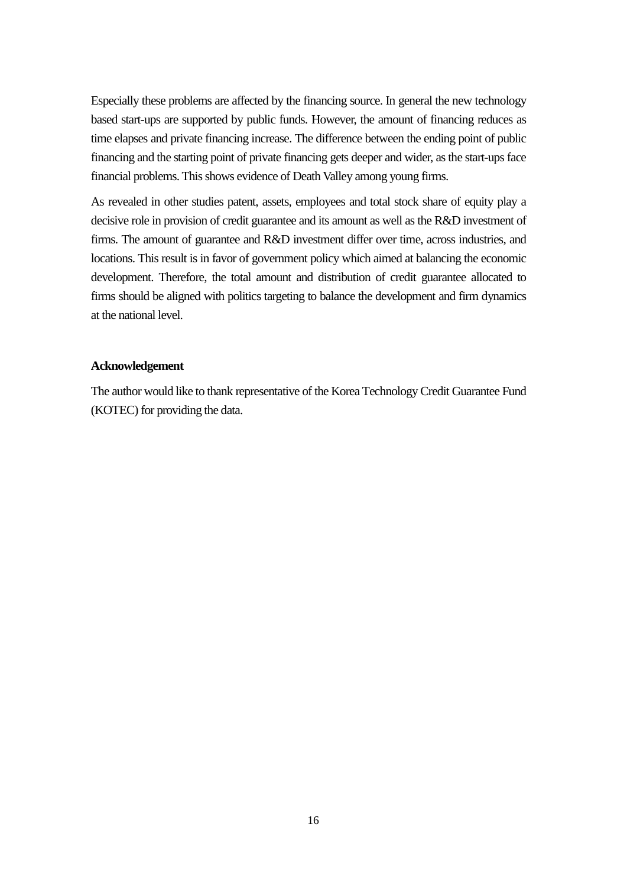Especially these problems are affected by the financing source. In general the new technology based start-ups are supported by public funds. However, the amount of financing reduces as time elapses and private financing increase. The difference between the ending point of public financing and the starting point of private financing gets deeper and wider, as the start-upsface financial problems. This shows evidence of Death Valley among young firms.

As revealed in other studies patent, assets, employees and total stock share of equity play a decisive role in provision of credit guarantee and its amount as well as the R&D investment of firms. The amount of guarantee and R&D investment differ over time, across industries, and locations. This result is in favor of government policy which aimed at balancing the economic development. Therefore, the total amount and distribution of credit guarantee allocated to firms should be aligned with politics targeting to balance the development and firm dynamics at the national level.

#### **Acknowledgement**

The author would like to thank representative of the Korea Technology Credit Guarantee Fund (KOTEC) for providing the data.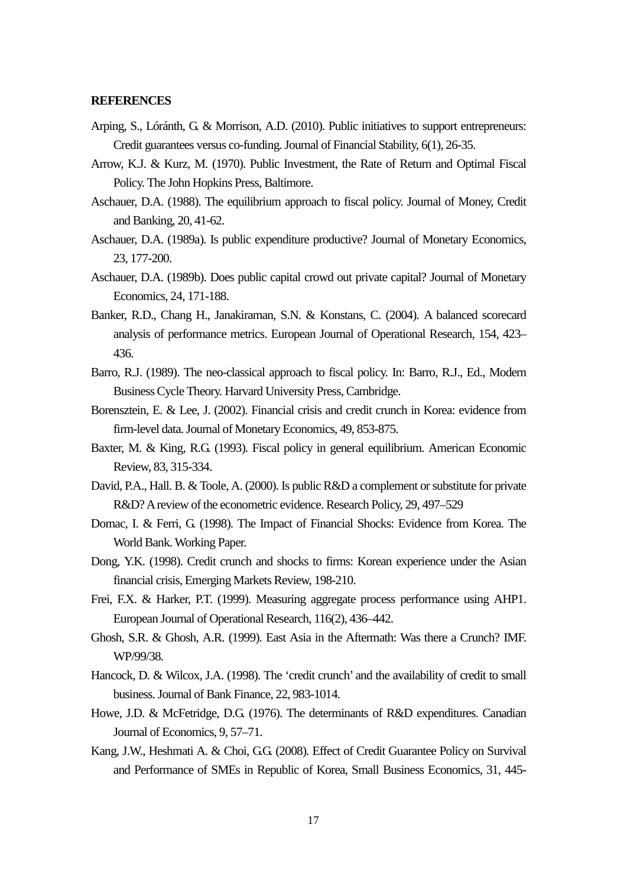#### **REFERENCES**

- Arping, S., Lóránth, G. & Morrison, A.D. (2010). [Public initiatives to support entrepreneurs:](http://www.sciencedirect.com/science/article/pii/S1572308909000400)  [Credit guarantees versus co-funding.](http://www.sciencedirect.com/science/article/pii/S1572308909000400) Journal of Financial Stability, 6(1), 26-35.
- Arrow, K.J. & Kurz, M. (1970). Public Investment, the Rate of Return and Optimal Fiscal Policy. The John Hopkins Press, Baltimore.
- Aschauer, D.A. (1988). The equilibrium approach to fiscal policy. Journal of Money, Credit and Banking, 20, 41-62.
- Aschauer, D.A. (1989a). Is public expenditure productive? Journal of Monetary Economics, 23, 177-200.
- Aschauer, D.A. (1989b). Does public capital crowd out private capital? Journal of Monetary Economics, 24, 171-188.
- Banker, R.D., Chang H., Janakiraman, S.N. & Konstans, C. (2004). A balanced scorecard analysis of performance metrics. European Journal of Operational Research, 154, 423– 436.
- Barro, R.J. (1989). The neo-classical approach to fiscal policy. In: Barro, R.J., Ed., Modern Business Cycle Theory. Harvard University Press, Cambridge.
- Borensztein, E. & Lee, J. (2002). Financial crisis and credit crunch in Korea: evidence from firm-level data.Journal of Monetary Economics, 49, 853-875.
- Baxter, M. & King, R.G. (1993). Fiscal policy in general equilibrium. American Economic Review, 83, 315-334.
- David, P.A., Hall. B. & Toole, A. (2000). Is public R&D a complement or substitute for private R&D? A review of the econometric evidence. Research Policy, 29, 497–529
- Domac, I. & Ferri, G. (1998). The Impact of Financial Shocks: Evidence from Korea. The World Bank. Working Paper.
- Dong, Y.K. (1998). Credit crunch and shocks to firms: Korean experience under the Asian financial crisis, Emerging Markets Review, 198-210.
- Frei, F.X. & Harker, P.T. (1999). Measuring aggregate process performance using AHP1. European Journal of Operational Research, 116(2), 436–442.
- Ghosh, S.R. & Ghosh, A.R. (1999). East Asia in the Aftermath: Was there a Crunch? IMF. WP/99/38.
- Hancock, D. & Wilcox, J.A. (1998). The 'credit crunch' and the availability of credit to small business. Journal of Bank Finance, 22, 983-1014.
- Howe, J.D. & McFetridge, D.G. (1976). The determinants of R&D expenditures. Canadian Journal of Economics, 9, 57–71.
- Kang, J.W., Heshmati A. & Choi, GG (2008). Effect of Credit Guarantee Policy on Survival and Performance of SMEs in Republic of Korea, Small Business Economics, 31, 445-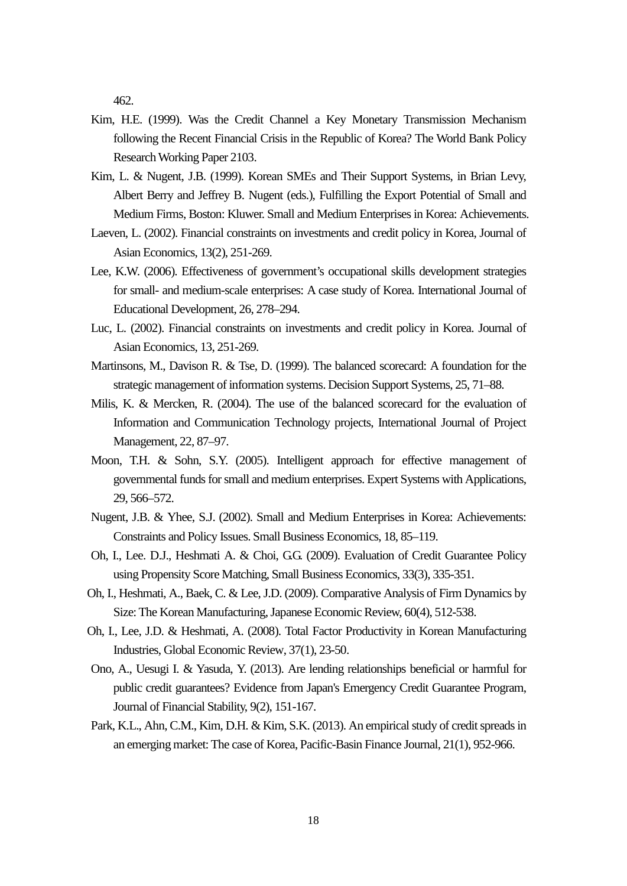462.

- Kim, H.E. (1999). Was the Credit Channel a Key Monetary Transmission Mechanism following the Recent Financial Crisis in the Republic of Korea? The World Bank Policy Research Working Paper 2103.
- Kim, L. & Nugent, J.B. (1999). Korean SMEs and Their Support Systems, in Brian Levy, Albert Berry and Jeffrey B. Nugent (eds.), Fulfilling the Export Potential of Small and Medium Firms, Boston: Kluwer. Small and Medium Enterprises in Korea: Achievements.
- Laeven, L. (2002). [Financial constraints on investments and credit policy in Korea,](http://www.sciencedirect.com/science/article/pii/S1049007802001112) Journal of Asian Economics, 13(2), 251-269.
- Lee, K.W. (2006). Effectiveness of government's occupational skills development strategies for small- and medium-scale enterprises: A case study of Korea. International Journal of Educational Development, 26, 278–294.
- Luc, L. (2002). Financial constraints on investments and credit policy in Korea. Journal of Asian Economics, 13, 251-269.
- Martinsons, M., Davison R. & Tse, D. (1999). The balanced scorecard: A foundation for the strategic management of information systems. Decision Support Systems, 25, 71–88.
- Milis, K. & Mercken, R. (2004). The use of the balanced scorecard for the evaluation of Information and Communication Technology projects, International Journal of Project Management, 22, 87–97.
- Moon, T.H. & Sohn, S.Y. (2005). Intelligent approach for effective management of governmental funds for small and medium enterprises. Expert Systems with Applications, 29, 566–572.
- Nugent, J.B. & Yhee, S.J. (2002). Small and Medium Enterprises in Korea: Achievements: Constraints and Policy Issues. Small Business Economics, 18, 85–119.
- Oh, I., Lee. D.J., Heshmati A. & Choi, GG (2009). Evaluation of Credit Guarantee Policy using Propensity Score Matching, Small Business Economics, 33(3), 335-351.
- Oh, I., Heshmati, A., Baek, C. & Lee, J.D. (2009). Comparative Analysis of Firm Dynamics by Size: The Korean Manufacturing, Japanese Economic Review, 60(4), 512-538.
- Oh, I., Lee, J.D. & Heshmati, A. (2008). Total Factor Productivity in Korean Manufacturing Industries, Global Economic Review, 37(1), 23-50.
- Ono, A., Uesugi I. & Yasuda, Y. (2013). [Are lending relationships beneficial or harmful for](http://www.sciencedirect.com/science/article/pii/S1572308913000065)  [public credit guarantees? Evidence from Japan's Emergency Credit Guarantee Program,](http://www.sciencedirect.com/science/article/pii/S1572308913000065) Journal of Financial Stability, 9(2), 151-167.
- Park, K.L., Ahn, C.M., Kim, D.H. & Kim, S.K. (2013)[. An empirical study of credit spreads in](http://www.sciencedirect.com/science/article/pii/S0927538X12000558)  [an emerging market: The case of Korea,](http://www.sciencedirect.com/science/article/pii/S0927538X12000558) Pacific-Basin Finance Journal, 21(1), 952-966.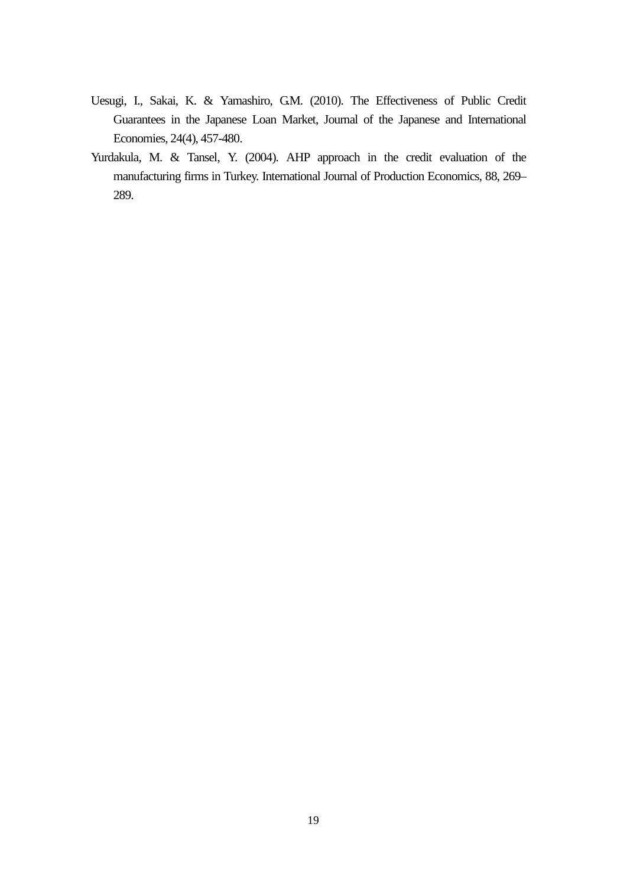- Uesugi, I., Sakai, K. & Yamashiro, G.M. (2010). The Effectiveness of Public Credit [Guarantees in the Japanese Loan Market,](http://www.sciencedirect.com/science/article/pii/S0889158310000328) Journal of the Japanese and International Economies, 24(4), 457-480.
- Yurdakula, M. & Tansel, Y. (2004). AHP approach in the credit evaluation of the manufacturing firms in Turkey. International Journal of Production Economics, 88, 269– 289.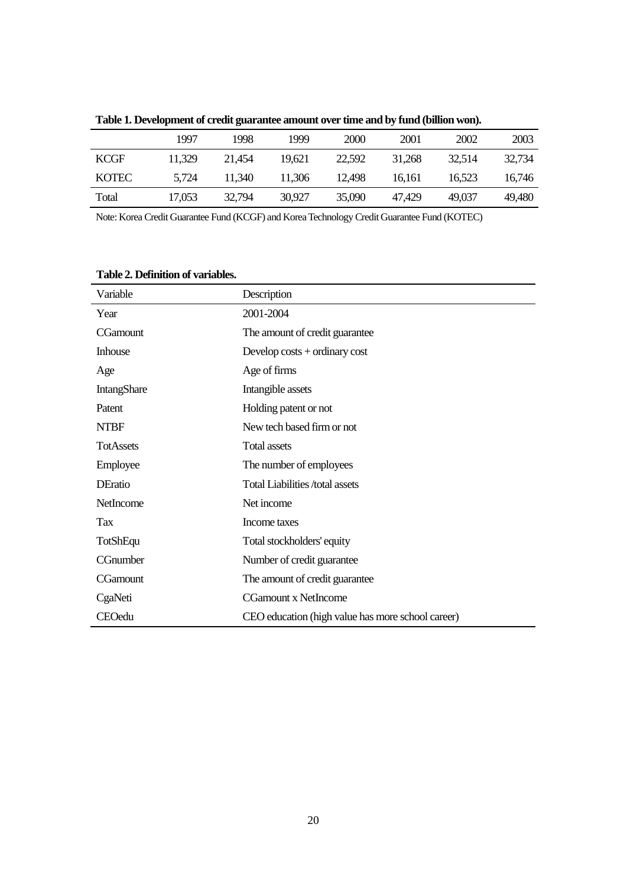|              | 1997   | 1998   | 1999   | 2000   | 2001   | 2002   | 2003   |
|--------------|--------|--------|--------|--------|--------|--------|--------|
| <b>KCGF</b>  | 11.329 | 21.454 | 19.621 | 22,592 | 31.268 | 32.514 | 32.734 |
| <b>KOTEC</b> | 5.724  | 11.340 | 11,306 | 12.498 | 16.161 | 16.523 | 16.746 |
| Total        | 17.053 | 32.794 | 30.927 | 35,090 | 47.429 | 49,037 | 49.480 |

**Table 1. Development of credit guarantee amount over time and by fund (billion won).**

Note: Korea Credit Guarantee Fund (KCGF) and Korea Technology Credit Guarantee Fund (KOTEC)

**Table 2. Definition of variables.**

| Variable           | Description                                       |
|--------------------|---------------------------------------------------|
| Year               | 2001-2004                                         |
| <b>CGamount</b>    | The amount of credit guarantee                    |
| <b>Inhouse</b>     | Develop $costs + ordinary cost$                   |
| Age                | Age of firms                                      |
| <b>IntangShare</b> | Intangible assets                                 |
| Patent             | Holding patent or not                             |
| <b>NTBF</b>        | New tech based firm or not                        |
| <b>TotAssets</b>   | <b>Total assets</b>                               |
| Employee           | The number of employees                           |
| <b>DEratio</b>     | <b>Total Liabilities /total assets</b>            |
| <b>NetIncome</b>   | Net income                                        |
| <b>Tax</b>         | Income taxes                                      |
| <b>TotShEqu</b>    | Total stockholders' equity                        |
| CGnumber           | Number of credit guarantee                        |
| CGamount           | The amount of credit guarantee                    |
| CgaNeti            | <b>CGamount x NetIncome</b>                       |
| CEOedu             | CEO education (high value has more school career) |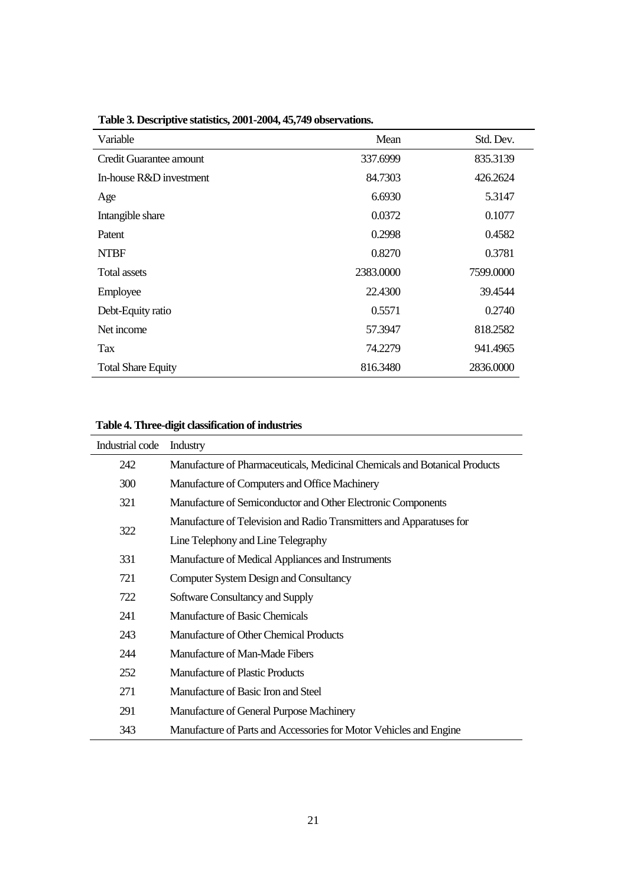| Variable                  | Mean      | Std. Dev. |
|---------------------------|-----------|-----------|
| Credit Guarantee amount   | 337.6999  | 835.3139  |
| In-house R&D investment   | 84.7303   | 426.2624  |
| Age                       | 6.6930    | 5.3147    |
| Intangible share          | 0.0372    | 0.1077    |
| Patent                    | 0.2998    | 0.4582    |
| <b>NTBF</b>               | 0.8270    | 0.3781    |
| <b>Total assets</b>       | 2383.0000 | 7599.0000 |
| Employee                  | 22.4300   | 39.4544   |
| Debt-Equity ratio         | 0.5571    | 0.2740    |
| Net income                | 57.3947   | 818.2582  |
| Tax                       | 74.2279   | 941.4965  |
| <b>Total Share Equity</b> | 816.3480  | 2836.0000 |

**Table 3. Descriptive statistics, 2001-2004, 45,749 observations.**

### **Table 4. Three-digit classification of industries**

| Industrial code | Industry                                                                   |
|-----------------|----------------------------------------------------------------------------|
| 242             | Manufacture of Pharmaceuticals, Medicinal Chemicals and Botanical Products |
| 300             | Manufacture of Computers and Office Machinery                              |
| 321             | Manufacture of Semiconductor and Other Electronic Components               |
| 322             | Manufacture of Television and Radio Transmitters and Apparatuses for       |
|                 | Line Telephony and Line Telegraphy                                         |
| 331             | Manufacture of Medical Appliances and Instruments                          |
| 721             | <b>Computer System Design and Consultancy</b>                              |
| 722             | Software Consultancy and Supply                                            |
| 241             | Manufacture of Basic Chemicals                                             |
| 243             | Manufacture of Other Chemical Products                                     |
| 244             | Manufacture of Man-Made Fibers                                             |
| 252             | <b>Manufacture of Plastic Products</b>                                     |
| 271             | Manufacture of Basic Iron and Steel                                        |
| 291             | Manufacture of General Purpose Machinery                                   |
| 343             | Manufacture of Parts and Accessories for Motor Vehicles and Engine         |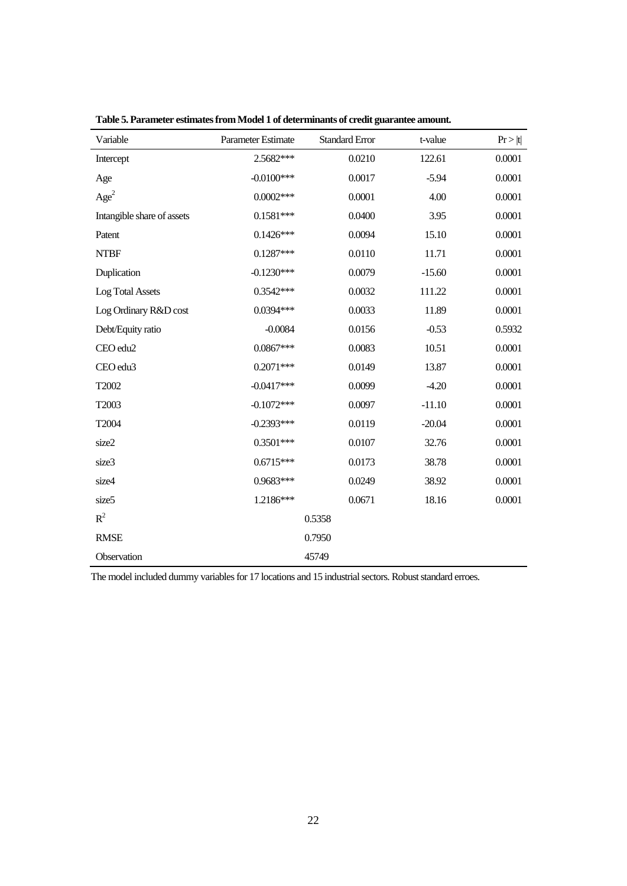| Variable                   | Parameter Estimate | <b>Standard Error</b> | t-value  | Pr >  t |
|----------------------------|--------------------|-----------------------|----------|---------|
| Intercept                  | 2.5682***          | 0.0210                | 122.61   | 0.0001  |
| Age                        | $-0.0100***$       | 0.0017                | $-5.94$  | 0.0001  |
| Age <sup>2</sup>           | $0.0002***$        | 0.0001                | 4.00     | 0.0001  |
| Intangible share of assets | $0.1581***$        | 0.0400                | 3.95     | 0.0001  |
| Patent                     | $0.1426***$        | 0.0094                | 15.10    | 0.0001  |
| <b>NTBF</b>                | $0.1287***$        | 0.0110                | 11.71    | 0.0001  |
| Duplication                | $-0.1230***$       | 0.0079                | $-15.60$ | 0.0001  |
| Log Total Assets           | $0.3542***$        | 0.0032                | 111.22   | 0.0001  |
| Log Ordinary R&D cost      | $0.0394***$        | 0.0033                | 11.89    | 0.0001  |
| Debt/Equity ratio          | $-0.0084$          | 0.0156                | $-0.53$  | 0.5932  |
| CEO edu2                   | $0.0867***$        | 0.0083                | 10.51    | 0.0001  |
| CEO edu3                   | $0.2071***$        | 0.0149                | 13.87    | 0.0001  |
| T2002                      | $-0.0417***$       | 0.0099                | $-4.20$  | 0.0001  |
| T2003                      | $-0.1072***$       | 0.0097                | $-11.10$ | 0.0001  |
| T2004                      | $-0.2393***$       | 0.0119                | $-20.04$ | 0.0001  |
| size2                      | $0.3501***$        | 0.0107                | 32.76    | 0.0001  |
| size3                      | $0.6715***$        | 0.0173                | 38.78    | 0.0001  |
| size4                      | 0.9683***          | 0.0249                | 38.92    | 0.0001  |
| size <sub>5</sub>          | 1.2186***          | 0.0671                | 18.16    | 0.0001  |
| $R^2$                      |                    | 0.5358                |          |         |
| <b>RMSE</b>                |                    | 0.7950                |          |         |
| Observation                |                    | 45749                 |          |         |

**Table 5. Parameter estimates from Model 1 of determinants of credit guarantee amount.** 

The model included dummy variables for 17 locations and 15 industrial sectors.Robust standard erroes.